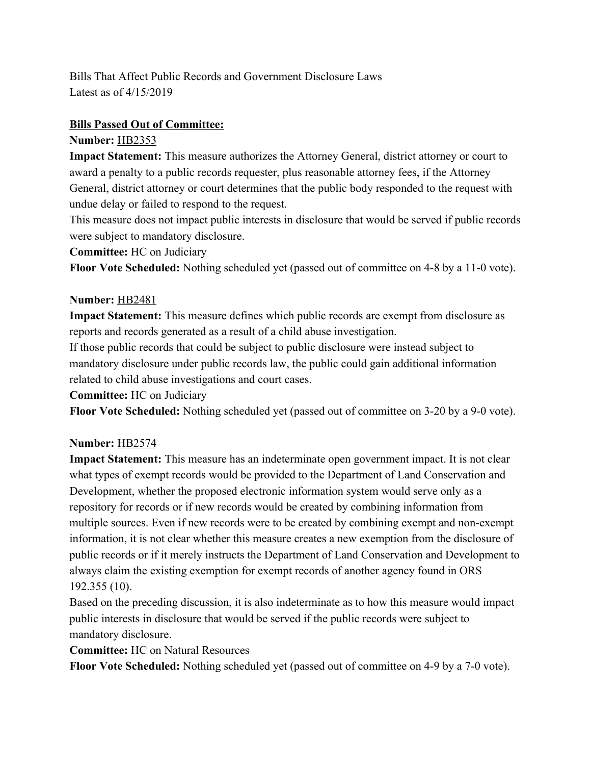Bills That Affect Public Records and Government Disclosure Laws Latest as of 4/15/2019

### **Bills Passed Out of Committee:**

### **Number:** [HB2353](https://olis.leg.state.or.us/liz/2019R1/Measures/Overview/HB2353)

**Impact Statement:** This measure authorizes the Attorney General, district attorney or court to award a penalty to a public records requester, plus reasonable attorney fees, if the Attorney General, district attorney or court determines that the public body responded to the request with undue delay or failed to respond to the request.

This measure does not impact public interests in disclosure that would be served if public records were subject to mandatory disclosure.

### **Committee:** HC on Judiciary

**Floor Vote Scheduled:** Nothing scheduled yet (passed out of committee on 4-8 by a 11-0 vote).

### **Number:** [HB2481](https://olis.leg.state.or.us/liz/2019R1/Measures/Overview/HB2481)

**Impact Statement:** This measure defines which public records are exempt from disclosure as reports and records generated as a result of a child abuse investigation.

If those public records that could be subject to public disclosure were instead subject to mandatory disclosure under public records law, the public could gain additional information related to child abuse investigations and court cases.

**Committee:** HC on Judiciary

**Floor Vote Scheduled:** Nothing scheduled yet (passed out of committee on 3-20 by a 9-0 vote).

## **Number:** [HB2574](https://olis.leg.state.or.us/liz/2019R1/Measures/Overview/HB2574)

**Impact Statement:** This measure has an indeterminate open government impact. It is not clear what types of exempt records would be provided to the Department of Land Conservation and Development, whether the proposed electronic information system would serve only as a repository for records or if new records would be created by combining information from multiple sources. Even if new records were to be created by combining exempt and non-exempt information, it is not clear whether this measure creates a new exemption from the disclosure of public records or if it merely instructs the Department of Land Conservation and Development to always claim the existing exemption for exempt records of another agency found in ORS 192.355 (10).

Based on the preceding discussion, it is also indeterminate as to how this measure would impact public interests in disclosure that would be served if the public records were subject to mandatory disclosure.

**Committee:** HC on Natural Resources

**Floor Vote Scheduled:** Nothing scheduled yet (passed out of committee on 4-9 by a 7-0 vote).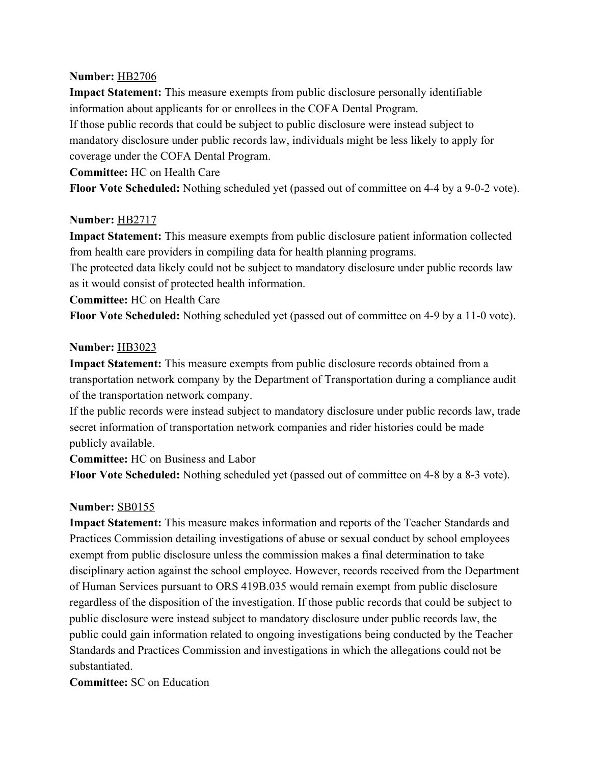#### **Number:** [HB2706](https://olis.leg.state.or.us/liz/2019R1/Measures/Overview/HB2706)

**Impact Statement:** This measure exempts from public disclosure personally identifiable information about applicants for or enrollees in the COFA Dental Program. If those public records that could be subject to public disclosure were instead subject to mandatory disclosure under public records law, individuals might be less likely to apply for coverage under the COFA Dental Program.

**Committee:** HC on Health Care

**Floor Vote Scheduled:** Nothing scheduled yet (passed out of committee on 4-4 by a 9-0-2 vote).

### **Number:** [HB2717](https://olis.leg.state.or.us/liz/2019R1/Measures/Overview/HB2717)

**Impact Statement:** This measure exempts from public disclosure patient information collected from health care providers in compiling data for health planning programs.

The protected data likely could not be subject to mandatory disclosure under public records law as it would consist of protected health information.

**Committee:** HC on Health Care

**Floor Vote Scheduled:** Nothing scheduled yet (passed out of committee on 4-9 by a 11-0 vote).

#### **Number:** [HB3023](https://olis.leg.state.or.us/liz/2019R1/Measures/Overview/HB3023)

**Impact Statement:** This measure exempts from public disclosure records obtained from a transportation network company by the Department of Transportation during a compliance audit of the transportation network company.

If the public records were instead subject to mandatory disclosure under public records law, trade secret information of transportation network companies and rider histories could be made publicly available.

**Committee:** HC on Business and Labor

**Floor Vote Scheduled:** Nothing scheduled yet (passed out of committee on 4-8 by a 8-3 vote).

### **Number:** [SB0155](https://olis.leg.state.or.us/liz/2019R1/Measures/Overview/SB155)

**Impact Statement:** This measure makes information and reports of the Teacher Standards and Practices Commission detailing investigations of abuse or sexual conduct by school employees exempt from public disclosure unless the commission makes a final determination to take disciplinary action against the school employee. However, records received from the Department of Human Services pursuant to ORS 419B.035 would remain exempt from public disclosure regardless of the disposition of the investigation. If those public records that could be subject to public disclosure were instead subject to mandatory disclosure under public records law, the public could gain information related to ongoing investigations being conducted by the Teacher Standards and Practices Commission and investigations in which the allegations could not be substantiated.

**Committee:** SC on Education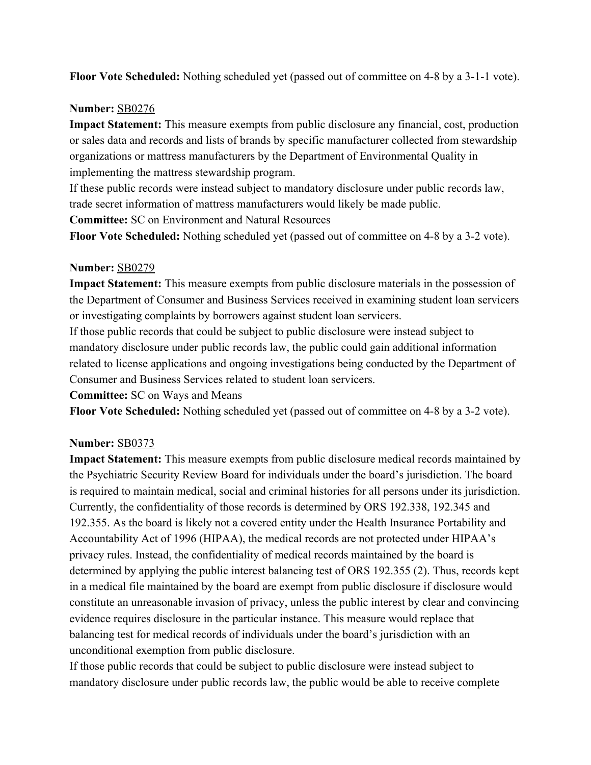**Floor Vote Scheduled:** Nothing scheduled yet (passed out of committee on 4-8 by a 3-1-1 vote).

### **Number:** [SB0276](https://olis.leg.state.or.us/liz/2019R1/Measures/Overview/SB276)

**Impact Statement:** This measure exempts from public disclosure any financial, cost, production or sales data and records and lists of brands by specific manufacturer collected from stewardship organizations or mattress manufacturers by the Department of Environmental Quality in implementing the mattress stewardship program.

If these public records were instead subject to mandatory disclosure under public records law, trade secret information of mattress manufacturers would likely be made public.

**Committee:** SC on Environment and Natural Resources

**Floor Vote Scheduled:** Nothing scheduled yet (passed out of committee on 4-8 by a 3-2 vote).

### **Number:** [SB0279](https://olis.leg.state.or.us/liz/2019R1/Measures/Overview/SB279)

**Impact Statement:** This measure exempts from public disclosure materials in the possession of the Department of Consumer and Business Services received in examining student loan servicers or investigating complaints by borrowers against student loan servicers.

If those public records that could be subject to public disclosure were instead subject to mandatory disclosure under public records law, the public could gain additional information related to license applications and ongoing investigations being conducted by the Department of Consumer and Business Services related to student loan servicers.

**Committee:** SC on Ways and Means

**Floor Vote Scheduled:** Nothing scheduled yet (passed out of committee on 4-8 by a 3-2 vote).

## **Number:** [SB0373](https://olis.leg.state.or.us/liz/2019R1/Measures/Overview/SB373)

**Impact Statement:** This measure exempts from public disclosure medical records maintained by the Psychiatric Security Review Board for individuals under the board's jurisdiction. The board is required to maintain medical, social and criminal histories for all persons under its jurisdiction. Currently, the confidentiality of those records is determined by ORS 192.338, 192.345 and 192.355. As the board is likely not a covered entity under the Health Insurance Portability and Accountability Act of 1996 (HIPAA), the medical records are not protected under HIPAA's privacy rules. Instead, the confidentiality of medical records maintained by the board is determined by applying the public interest balancing test of ORS 192.355 (2). Thus, records kept in a medical file maintained by the board are exempt from public disclosure if disclosure would constitute an unreasonable invasion of privacy, unless the public interest by clear and convincing evidence requires disclosure in the particular instance. This measure would replace that balancing test for medical records of individuals under the board's jurisdiction with an unconditional exemption from public disclosure.

If those public records that could be subject to public disclosure were instead subject to mandatory disclosure under public records law, the public would be able to receive complete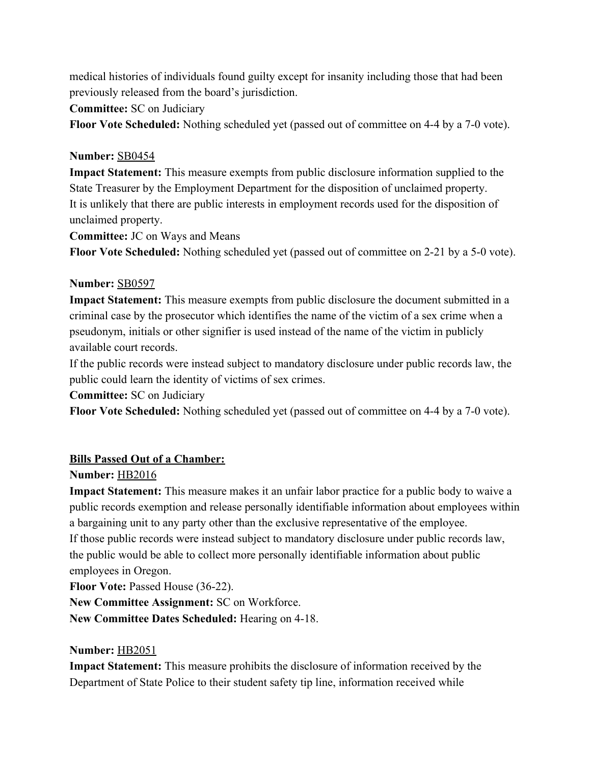medical histories of individuals found guilty except for insanity including those that had been previously released from the board's jurisdiction.

**Committee:** SC on Judiciary

**Floor Vote Scheduled:** Nothing scheduled yet (passed out of committee on 4-4 by a 7-0 vote).

## **Number:** [SB0454](https://olis.leg.state.or.us/liz/2019R1/Measures/Overview/SB454)

**Impact Statement:** This measure exempts from public disclosure information supplied to the State Treasurer by the Employment Department for the disposition of unclaimed property. It is unlikely that there are public interests in employment records used for the disposition of unclaimed property.

**Committee:** JC on Ways and Means

**Floor Vote Scheduled:** Nothing scheduled yet (passed out of committee on 2-21 by a 5-0 vote).

# **Number:** [SB0597](https://olis.leg.state.or.us/liz/2019R1/Measures/Overview/SB597)

**Impact Statement:** This measure exempts from public disclosure the document submitted in a criminal case by the prosecutor which identifies the name of the victim of a sex crime when a pseudonym, initials or other signifier is used instead of the name of the victim in publicly available court records.

If the public records were instead subject to mandatory disclosure under public records law, the public could learn the identity of victims of sex crimes.

**Committee:** SC on Judiciary

**Floor Vote Scheduled:** Nothing scheduled yet (passed out of committee on 4-4 by a 7-0 vote).

# **Bills Passed Out of a Chamber:**

# **Number:** [HB2016](https://olis.leg.state.or.us/liz/2019R1/Measures/Overview/HB2016)

**Impact Statement:** This measure makes it an unfair labor practice for a public body to waive a public records exemption and release personally identifiable information about employees within a bargaining unit to any party other than the exclusive representative of the employee. If those public records were instead subject to mandatory disclosure under public records law, the public would be able to collect more personally identifiable information about public employees in Oregon.

**Floor Vote: Passed House (36-22).** 

**New Committee Assignment:** SC on Workforce.

**New Committee Dates Scheduled:** Hearing on 4-18.

## **Number:** [HB2051](https://olis.leg.state.or.us/liz/2019R1/Measures/Overview/HB2051)

**Impact Statement:** This measure prohibits the disclosure of information received by the Department of State Police to their student safety tip line, information received while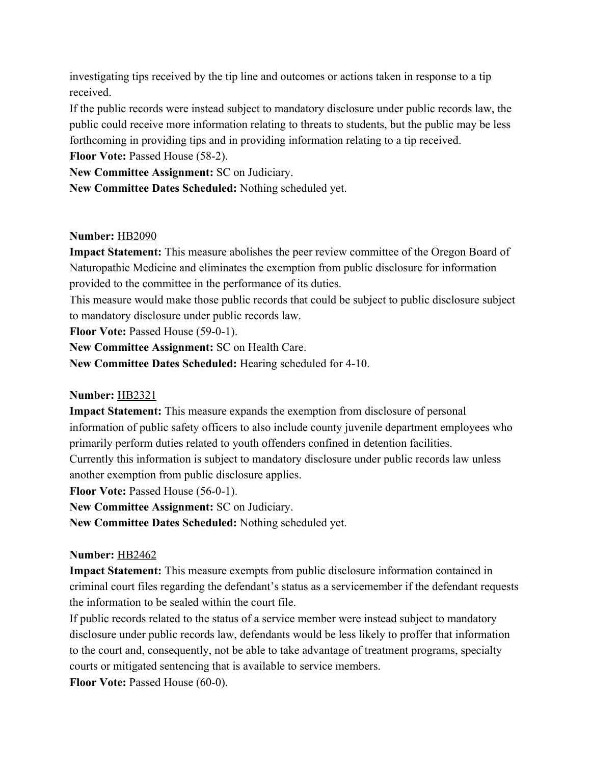investigating tips received by the tip line and outcomes or actions taken in response to a tip received.

If the public records were instead subject to mandatory disclosure under public records law, the public could receive more information relating to threats to students, but the public may be less forthcoming in providing tips and in providing information relating to a tip received.

**Floor Vote: Passed House (58-2).** 

**New Committee Assignment:** SC on Judiciary.

**New Committee Dates Scheduled:** Nothing scheduled yet.

### **Number:** [HB2090](https://olis.leg.state.or.us/liz/2019R1/Measures/Overview/HB2090)

**Impact Statement:** This measure abolishes the peer review committee of the Oregon Board of Naturopathic Medicine and eliminates the exemption from public disclosure for information provided to the committee in the performance of its duties.

This measure would make those public records that could be subject to public disclosure subject to mandatory disclosure under public records law.

**Floor Vote: Passed House (59-0-1).** 

**New Committee Assignment:** SC on Health Care.

**New Committee Dates Scheduled:** Hearing scheduled for 4-10.

## **Number:** [HB2321](https://olis.leg.state.or.us/liz/2019R1/Measures/Overview/HB2321)

**Impact Statement:** This measure expands the exemption from disclosure of personal information of public safety officers to also include county juvenile department employees who primarily perform duties related to youth offenders confined in detention facilities. Currently this information is subject to mandatory disclosure under public records law unless another exemption from public disclosure applies.

**Floor Vote: Passed House (56-0-1).** 

**New Committee Assignment:** SC on Judiciary.

**New Committee Dates Scheduled:** Nothing scheduled yet.

### **Number:** [HB2462](https://olis.leg.state.or.us/liz/2019R1/Measures/Overview/HB2462)

**Impact Statement:** This measure exempts from public disclosure information contained in criminal court files regarding the defendant's status as a servicemember if the defendant requests the information to be sealed within the court file.

If public records related to the status of a service member were instead subject to mandatory disclosure under public records law, defendants would be less likely to proffer that information to the court and, consequently, not be able to take advantage of treatment programs, specialty courts or mitigated sentencing that is available to service members.

**Floor Vote: Passed House (60-0).**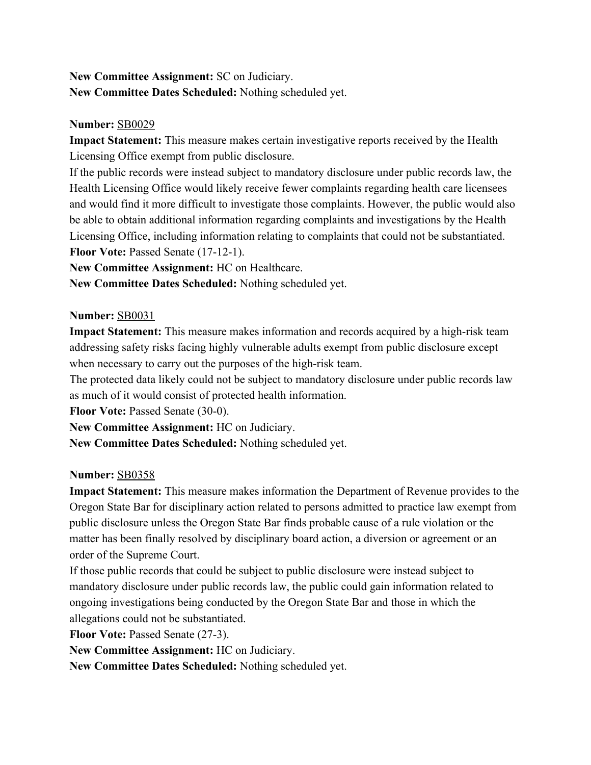# **New Committee Assignment:** SC on Judiciary. **New Committee Dates Scheduled:** Nothing scheduled yet.

### **Number:** [SB0029](https://olis.leg.state.or.us/liz/2019R1/Measures/Overview/SB29)

**Impact Statement:** This measure makes certain investigative reports received by the Health Licensing Office exempt from public disclosure.

If the public records were instead subject to mandatory disclosure under public records law, the Health Licensing Office would likely receive fewer complaints regarding health care licensees and would find it more difficult to investigate those complaints. However, the public would also be able to obtain additional information regarding complaints and investigations by the Health Licensing Office, including information relating to complaints that could not be substantiated. **Floor Vote: Passed Senate (17-12-1).** 

**New Committee Assignment:** HC on Healthcare.

**New Committee Dates Scheduled:** Nothing scheduled yet.

#### **Number:** [SB0031](https://olis.leg.state.or.us/liz/2019R1/Measures/Overview/SB31)

**Impact Statement:** This measure makes information and records acquired by a high-risk team addressing safety risks facing highly vulnerable adults exempt from public disclosure except when necessary to carry out the purposes of the high-risk team.

The protected data likely could not be subject to mandatory disclosure under public records law as much of it would consist of protected health information.

**Floor Vote: Passed Senate (30-0).** 

**New Committee Assignment:** HC on Judiciary.

**New Committee Dates Scheduled:** Nothing scheduled yet.

#### **Number:** [SB0358](https://olis.leg.state.or.us/liz/2019R1/Measures/Overview/SB358)

**Impact Statement:** This measure makes information the Department of Revenue provides to the Oregon State Bar for disciplinary action related to persons admitted to practice law exempt from public disclosure unless the Oregon State Bar finds probable cause of a rule violation or the matter has been finally resolved by disciplinary board action, a diversion or agreement or an order of the Supreme Court.

If those public records that could be subject to public disclosure were instead subject to mandatory disclosure under public records law, the public could gain information related to ongoing investigations being conducted by the Oregon State Bar and those in which the allegations could not be substantiated.

**Floor Vote: Passed Senate (27-3).** 

**New Committee Assignment:** HC on Judiciary.

**New Committee Dates Scheduled:** Nothing scheduled yet.